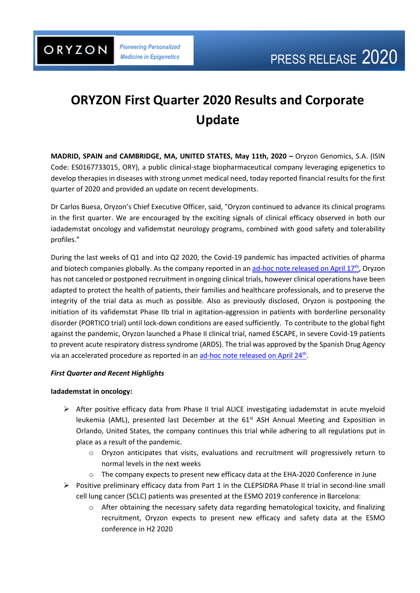*Pioneering Personalized Medicine in Epigenetics*

# **ORYZON First Quarter 2020 Results and Corporate Update**

**MADRID, SPAIN and CAMBRIDGE, MA, UNITED STATES, May 11th, 2020 –** Oryzon Genomics, S.A. (ISIN Code: ES0167733015, ORY), a public clinical-stage biopharmaceutical company leveraging epigenetics to develop therapies in diseases with strong unmet medical need, today reported financial results for the first quarter of 2020 and provided an update on recent developments.

Dr Carlos Buesa, Oryzon's Chief Executive Officer, said, "Oryzon continued to advance its clinical programs in the first quarter. We are encouraged by the exciting signals of clinical efficacy observed in both our iadademstat oncology and vafidemstat neurology programs, combined with good safety and tolerability profiles."

During the last weeks of Q1 and into Q2 2020, the Covid-19 pandemic has impacted activities of pharma and biotech companies globally. As the company reported in a[n ad-hoc note released on April 17](https://www.oryzon.com/en/news/oryzon-provides-corporate-update-context-covid-19)<sup>th</sup>, Oryzon has not canceled or postponed recruitment in ongoing clinical trials, however clinical operations have been adapted to protect the health of patients, their families and healthcare professionals, and to preserve the integrity of the trial data as much as possible. Also as previously disclosed, Oryzon is postponing the initiation of its vafidemstat Phase IIb trial in agitation-aggression in patients with borderline personality disorder (PORTICO trial) until lock-down conditions are eased sufficiently. To contribute to the global fight against the pandemic, Oryzon launched a Phase II clinical trial, named ESCAPE, in severe Covid-19 patients to prevent acute respiratory distress syndrome (ARDS). The trial was approved by the Spanish Drug Agency via an accelerated procedure as reported in an [ad-hoc note released on April 24](https://www.oryzon.com/en/news/oryzon-initiate-escape-phase-ii-clinical-trial-test-efficacy-vafidemstat-severely-ill-covid-19)<sup>th</sup>.

### *First Quarter and Recent Highlights*

### **Iadademstat in oncology:**

- ➢ After positive efficacy data from Phase II trial ALICE investigating iadademstat in acute myeloid leukemia (AML), presented last December at the 61<sup>st</sup> ASH Annual Meeting and Exposition in Orlando, United States, the company continues this trial while adhering to all regulations put in place as a result of the pandemic.
	- $\circ$  Oryzon anticipates that visits, evaluations and recruitment will progressively return to normal levels in the next weeks
	- o The company expects to present new efficacy data at the EHA-2020 Conference in June
- ➢ Positive preliminary efficacy data from Part 1 in the CLEPSIDRA Phase II trial in second-line small cell lung cancer (SCLC) patients was presented at the ESMO 2019 conference in Barcelona:
	- $\circ$  After obtaining the necessary safety data regarding hematological toxicity, and finalizing recruitment, Oryzon expects to present new efficacy and safety data at the ESMO conference in H2 2020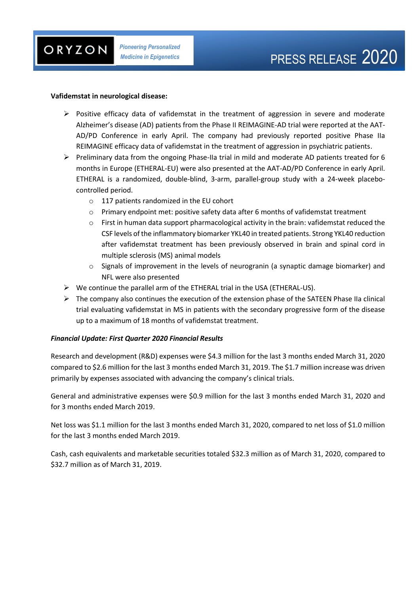#### **Vafidemstat in neurological disease:**

- $\triangleright$  Positive efficacy data of vafidemstat in the treatment of aggression in severe and moderate Alzheimer's disease (AD) patients from the Phase II REIMAGINE-AD trial were reported at the AAT-AD/PD Conference in early April. The company had previously reported positive Phase IIa REIMAGINE efficacy data of vafidemstat in the treatment of aggression in psychiatric patients.
- ➢ Preliminary data from the ongoing Phase-IIa trial in mild and moderate AD patients treated for 6 months in Europe (ETHERAL-EU) were also presented at the AAT-AD/PD Conference in early April. ETHERAL is a randomized, double-blind, 3-arm, parallel-group study with a 24-week placebocontrolled period.
	- o 117 patients randomized in the EU cohort
	- o Primary endpoint met: positive safety data after 6 months of vafidemstat treatment
	- $\circ$  First in human data support pharmacological activity in the brain: vafidemstat reduced the CSF levels of the inflammatory biomarker YKL40 in treated patients. Strong YKL40 reduction after vafidemstat treatment has been previously observed in brain and spinal cord in multiple sclerosis (MS) animal models
	- $\circ$  Signals of improvement in the levels of neurogranin (a synaptic damage biomarker) and NFL were also presented
- ➢ We continue the parallel arm of the ETHERAL trial in the USA (ETHERAL-US).
- $\triangleright$  The company also continues the execution of the extension phase of the SATEEN Phase IIa clinical trial evaluating vafidemstat in MS in patients with the secondary progressive form of the disease up to a maximum of 18 months of vafidemstat treatment.

### *Financial Update: First Quarter 2020 Financial Results*

Research and development (R&D) expenses were \$4.3 million for the last 3 months ended March 31, 2020 compared to \$2.6 million for the last 3 months ended March 31, 2019. The \$1.7 million increase was driven primarily by expenses associated with advancing the company's clinical trials.

General and administrative expenses were \$0.9 million for the last 3 months ended March 31, 2020 and for 3 months ended March 2019.

Net loss was \$1.1 million for the last 3 months ended March 31, 2020, compared to net loss of \$1.0 million for the last 3 months ended March 2019.

Cash, cash equivalents and marketable securities totaled \$32.3 million as of March 31, 2020, compared to \$32.7 million as of March 31, 2019.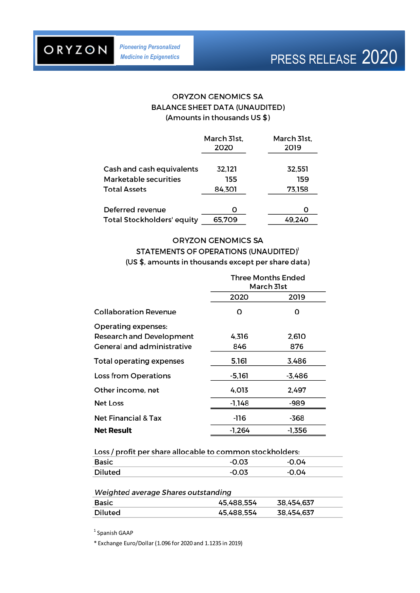ORYZON

*Pioneering Personalized Medicine in Epigenetics*

## **ORYZON GENOMICS SA BALANCE SHEET DATA (UNAUDITED)** (Amounts in thousands US \$)

|                                   | March 31st,<br>2020 | March 31st.<br>2019 |
|-----------------------------------|---------------------|---------------------|
| Cash and cash equivalents         | 32,121              | 32,551              |
| Marketable securities             | 155                 | 159                 |
| <b>Total Assets</b>               | 84.301              | 73,158              |
| Deferred revenue                  | Ω                   | O                   |
| <b>Total Stockholders' equity</b> | 65.709              | 49.240              |

### **ORYZON GENOMICS SA**

## STATEMENTS OF OPERATIONS (UNAUDITED)<sup>1</sup> (US \$, amounts in thousands except per share data)

|                                                                                             | <b>Three Months Ended</b><br>March 31st |              |
|---------------------------------------------------------------------------------------------|-----------------------------------------|--------------|
|                                                                                             | 2020                                    | 2019         |
| Collaboration Revenue                                                                       | O                                       | O            |
| <b>Operating expenses:</b><br><b>Research and Development</b><br>General and administrative | 4,316<br>846                            | 2,610<br>876 |
| <b>Total operating expenses</b>                                                             | 5,161                                   | 3,486        |
| <b>Loss from Operations</b>                                                                 | $-5,161$                                | $-3,486$     |
| Other income, net                                                                           | 4,013                                   | 2,497        |
| <b>Net Loss</b>                                                                             | $-1,148$                                | -989         |
| <b>Net Financial &amp; Tax</b>                                                              | -116                                    | -368         |
| <b>Net Result</b>                                                                           | -1.264                                  | -1,356       |

| Loss / profit per share allocable to common stockholders: |  |  |  |  |
|-----------------------------------------------------------|--|--|--|--|
| -0.04                                                     |  |  |  |  |
| -0.04                                                     |  |  |  |  |
|                                                           |  |  |  |  |

#### Weighted average Shares outstanding

| <b>Basic</b>   | 45.488.554 | 38,454,637 |
|----------------|------------|------------|
| <b>Diluted</b> | 45,488,554 | 38,454,637 |

<sup>1</sup> Spanish GAAP

\* Exchange Euro/Dollar (1.096 for 2020 and 1.1235 in 2019)